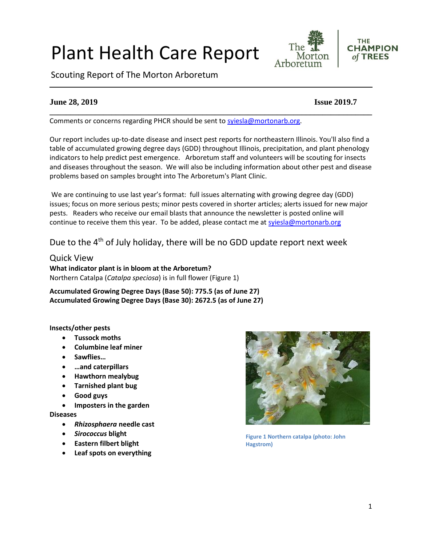# 1

# Plant Health Care Report

Scouting Report of The Morton Arboretum

# **June 28, 2019 Issue 2019.7**

Comments or concerns regarding PHCR should be sent to [syiesla@mortonarb.org.](mailto:syiesla@mortonarb.org)

Our report includes up-to-date disease and insect pest reports for northeastern Illinois. You'll also find a table of accumulated growing degree days (GDD) throughout Illinois, precipitation, and plant phenology indicators to help predict pest emergence. Arboretum staff and volunteers will be scouting for insects and diseases throughout the season. We will also be including information about other pest and disease problems based on samples brought into The Arboretum's Plant Clinic.

**\_\_\_\_\_\_\_\_\_\_\_\_\_\_\_\_\_\_\_\_\_\_\_\_\_\_\_\_\_\_\_\_\_\_\_\_\_\_\_\_\_\_\_\_\_\_\_\_\_\_\_\_\_\_\_\_\_\_\_\_\_\_\_\_\_\_\_\_\_\_\_\_\_\_\_\_\_\_**

We are continuing to use last year's format: full issues alternating with growing degree day (GDD) issues; focus on more serious pests; minor pests covered in shorter articles; alerts issued for new major pests. Readers who receive our email blasts that announce the newsletter is posted online will continue to receive them this year. To be added, please contact me at [syiesla@mortonarb.org](mailto:syiesla@mortonarb.org)

# Due to the 4<sup>th</sup> of July holiday, there will be no GDD update report next week

## Quick View

**What indicator plant is in bloom at the Arboretum?** Northern Catalpa (*Catalpa speciosa*) is in full flower (Figure 1)

**Accumulated Growing Degree Days (Base 50): 775.5 (as of June 27) Accumulated Growing Degree Days (Base 30): 2672.5 (as of June 27)**

#### **Insects/other pests**

- **Tussock moths**
- **Columbine leaf miner**
- **Sawflies…**
- **…and caterpillars**
- **Hawthorn mealybug**
- **Tarnished plant bug**
- **Good guys**
- **Imposters in the garden**

#### **Diseases**

- *Rhizosphaera* **needle cast**
- *Sirococcus* **blight**
- **Eastern filbert blight**
- **Leaf spots on everything**









The

Morton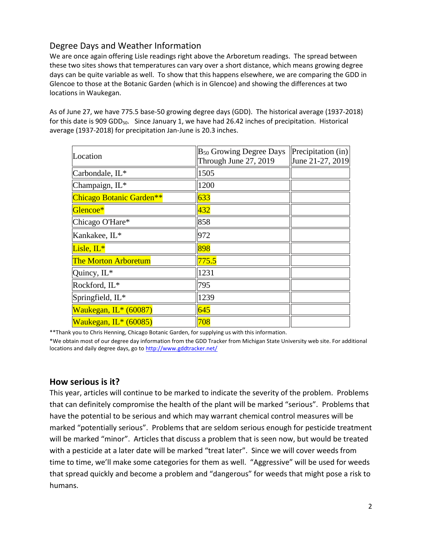# Degree Days and Weather Information

We are once again offering Lisle readings right above the Arboretum readings. The spread between these two sites shows that temperatures can vary over a short distance, which means growing degree days can be quite variable as well. To show that this happens elsewhere, we are comparing the GDD in Glencoe to those at the Botanic Garden (which is in Glencoe) and showing the differences at two locations in Waukegan.

As of June 27, we have 775.5 base-50 growing degree days (GDD). The historical average (1937-2018) for this date is 909 GDD<sub>50</sub>. Since January 1, we have had 26.42 inches of precipitation. Historical average (1937-2018) for precipitation Jan-June is 20.3 inches.

| Location                    | B <sub>50</sub> Growing Degree Days<br>Through June 27, 2019 | Precipitation (in)<br>June 21-27, 2019 |
|-----------------------------|--------------------------------------------------------------|----------------------------------------|
| Carbondale, IL*             | 1505                                                         |                                        |
| Champaign, IL*              | 1200                                                         |                                        |
| Chicago Botanic Garden**    | 633                                                          |                                        |
| Glencoe*                    | $\vert\vert 432 \vert$                                       |                                        |
| Chicago O'Hare*             | 858                                                          |                                        |
| Kankakee, IL*               | 972                                                          |                                        |
| Lisle, IL*                  | 898                                                          |                                        |
| <b>The Morton Arboretum</b> | 775.5                                                        |                                        |
| Quincy, IL*                 | 1231                                                         |                                        |
| Rockford, IL*               | 795                                                          |                                        |
| Springfield, IL*            | 1239                                                         |                                        |
| Waukegan, IL* (60087)       | 645                                                          |                                        |
| Waukegan, IL* (60085)       | 708                                                          |                                        |

\*\*Thank you to Chris Henning, Chicago Botanic Garden, for supplying us with this information.

\*We obtain most of our degree day information from the GDD Tracker from Michigan State University web site. For additional locations and daily degree days, go t[o http://www.gddtracker.net/](http://www.gddtracker.net/)

## **How serious is it?**

This year, articles will continue to be marked to indicate the severity of the problem. Problems that can definitely compromise the health of the plant will be marked "serious".Problems that have the potential to be serious and which may warrant chemical control measures will be marked "potentially serious". Problems that are seldom serious enough for pesticide treatment will be marked "minor". Articles that discuss a problem that is seen now, but would be treated with a pesticide at a later date will be marked "treat later". Since we will cover weeds from time to time, we'll make some categories for them as well. "Aggressive" will be used for weeds that spread quickly and become a problem and "dangerous" for weeds that might pose a risk to humans.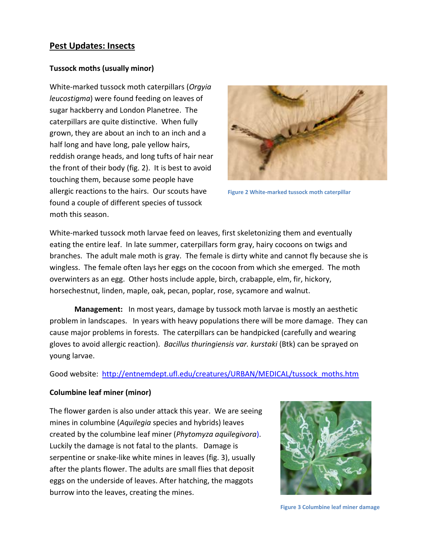# **Pest Updates: Insects**

#### **Tussock moths (usually minor)**

White-marked tussock moth caterpillars (*Orgyia leucostigma*) were found feeding on leaves of sugar hackberry and London Planetree. The caterpillars are quite distinctive. When fully grown, they are about an inch to an inch and a half long and have long, pale yellow hairs, reddish orange heads, and long tufts of hair near the front of their body (fig. 2). It is best to avoid touching them, because some people have allergic reactions to the hairs. Our scouts have found a couple of different species of tussock moth this season.



**Figure 2 White-marked tussock moth caterpillar**

White-marked tussock moth larvae feed on leaves, first skeletonizing them and eventually eating the entire leaf. In late summer, caterpillars form gray, hairy cocoons on twigs and branches. The adult male moth is gray. The female is dirty white and cannot fly because she is wingless. The female often lays her eggs on the cocoon from which she emerged. The moth overwinters as an egg. Other hosts include apple, birch, crabapple, elm, fir, hickory, horsechestnut, linden, maple, oak, pecan, poplar, rose, sycamore and walnut.

**Management:** In most years, damage by tussock moth larvae is mostly an aesthetic problem in landscapes. In years with heavy populations there will be more damage. They can cause major problems in forests. The caterpillars can be handpicked (carefully and wearing gloves to avoid allergic reaction). *Bacillus thuringiensis var. kurstaki* (Btk) can be sprayed on young larvae.

Good website: [http://entnemdept.ufl.edu/creatures/URBAN/MEDICAL/tussock\\_moths.htm](http://entnemdept.ufl.edu/creatures/URBAN/MEDICAL/tussock_moths.htm)

#### **Columbine leaf miner (minor)**

The flower garden is also under attack this year. We are seeing mines in columbine (*Aquilegia* species and hybrids) leaves created by the columbine leaf miner (*Phytomyza aquilegivora*). Luckily the damage is not fatal to the plants. Damage is serpentine or snake-like white mines in leaves (fig. 3), usually after the plants flower. The adults are small flies that deposit eggs on the underside of leaves. After hatching, the maggots burrow into the leaves, creating the mines.



3 **Figure 3 Columbine leaf miner damage**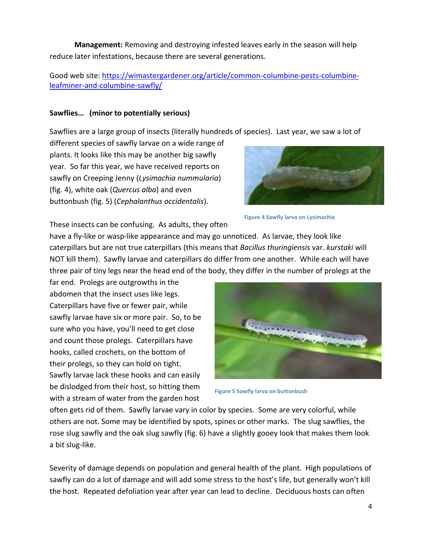**Management:** Removing and destroying infested leaves early in the season will help reduce later infestations, because there are several generations.

Good web site: [https://wimastergardener.org/article/common-columbine-pests-columbine](https://wimastergardener.org/article/common-columbine-pests-columbine-leafminer-and-columbine-sawfly/)[leafminer-and-columbine-sawfly/](https://wimastergardener.org/article/common-columbine-pests-columbine-leafminer-and-columbine-sawfly/)

#### **Sawflies… (minor to potentially serious)**

Sawflies are a large group of insects (literally hundreds of species). Last year, we saw a lot of

different species of sawfly larvae on a wide range of plants. It looks like this may be another big sawfly year. So far this year, we have received reports on sawfly on Creeping Jenny (*Lysimachia nummularia*) (fig. 4), white oak (*Quercus alba*) and even buttonbush (fig. 5) (*Cephalanthus occidentalis*).



**Figure 4 Sawfly larva on Lysimachia**

These insects can be confusing. As adults, they often

have a fly-like or wasp-like appearance and may go unnoticed. As larvae, they look like caterpillars but are not true caterpillars (this means that *Bacillus thuringiensis* var. *kurstaki* will NOT kill them). Sawfly larvae and caterpillars do differ from one another. While each will have three pair of tiny legs near the head end of the body, they differ in the number of prolegs at the

far end. Prolegs are outgrowths in the abdomen that the insect uses like legs. Caterpillars have five or fewer pair, while sawfly larvae have six or more pair. So, to be sure who you have, you'll need to get close and count those prolegs. Caterpillars have hooks, called crochets, on the bottom of their prolegs, so they can hold on tight. Sawfly larvae lack these hooks and can easily be dislodged from their host, so hitting them with a stream of water from the garden host



**Figure 5 Sawfly larva on buttonbush**

often gets rid of them. Sawfly larvae vary in color by species. Some are very colorful, while others are not. Some may be identified by spots, spines or other marks. The slug sawflies, the rose slug sawfly and the oak slug sawfly (fig. 6) have a slightly gooey look that makes them look a bit slug-like.

Severity of damage depends on population and general health of the plant. High populations of sawfly can do a lot of damage and will add some stress to the host's life, but generally won't kill the host. Repeated defoliation year after year can lead to decline. Deciduous hosts can often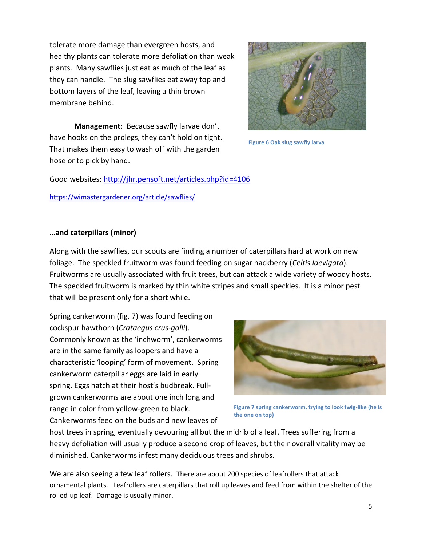tolerate more damage than evergreen hosts, and healthy plants can tolerate more defoliation than weak plants. Many sawflies just eat as much of the leaf as they can handle. The slug sawflies eat away top and bottom layers of the leaf, leaving a thin brown membrane behind.

**Management:** Because sawfly larvae don't have hooks on the prolegs, they can't hold on tight. That makes them easy to wash off with the garden hose or to pick by hand.

Good websites:<http://jhr.pensoft.net/articles.php?id=4106> <https://wimastergardener.org/article/sawflies/>

## **…and caterpillars (minor)**

Along with the sawflies, our scouts are finding a number of caterpillars hard at work on new foliage. The speckled fruitworm was found feeding on sugar hackberry (*Celtis laevigata*). Fruitworms are usually associated with fruit trees, but can attack a wide variety of woody hosts. The speckled fruitworm is marked by thin white stripes and small speckles. It is a minor pest that will be present only for a short while.

Spring cankerworm (fig. 7) was found feeding on cockspur hawthorn (*Crataegus crus-galli*). Commonly known as the 'inchworm', cankerworms are in the same family as loopers and have a characteristic 'looping' form of movement. Spring cankerworm caterpillar eggs are laid in early spring. Eggs hatch at their host's budbreak. Fullgrown cankerworms are about one inch long and range in color from yellow-green to black. Cankerworms feed on the buds and new leaves of

**Figure 7 spring cankerworm, trying to look twig-like (he is the one on top)**

host trees in spring, eventually devouring all but the midrib of a leaf. Trees suffering from a heavy defoliation will usually produce a second crop of leaves, but their overall vitality may be diminished. Cankerworms infest many deciduous trees and shrubs.

We are also seeing a few leaf rollers. There are about 200 species of leafrollers that attack ornamental plants. Leafrollers are caterpillars that roll up leaves and feed from within the shelter of the rolled-up leaf. Damage is usually minor.





**Figure 6 Oak slug sawfly larva**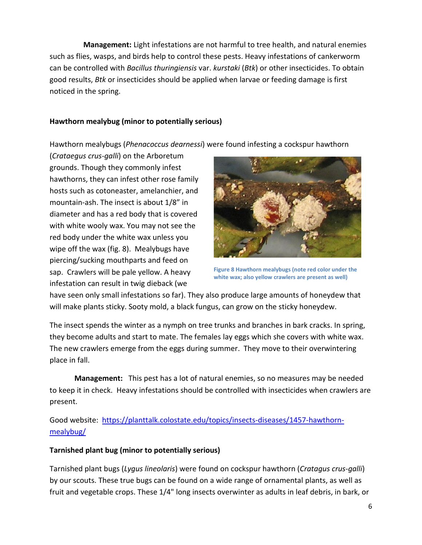**Management:** Light infestations are not harmful to tree health, and natural enemies such as flies, wasps, and birds help to control these pests. Heavy infestations of cankerworm can be controlled with *Bacillus thuringiensis* var. *kurstaki* (*Btk*) or other insecticides. To obtain good results, *Btk* or insecticides should be applied when larvae or feeding damage is first noticed in the spring.

# **Hawthorn mealybug (minor to potentially serious)**

Hawthorn mealybugs (*Phenacoccus dearnessi*) were found infesting a cockspur hawthorn

(*Crataegus crus-galli*) on the Arboretum grounds. Though they commonly infest hawthorns, they can infest other rose family hosts such as cotoneaster, amelanchier, and mountain-ash. The insect is about 1/8" in diameter and has a red body that is covered with white wooly wax. You may not see the red body under the white wax unless you wipe off the wax (fig. 8). Mealybugs have piercing/sucking mouthparts and feed on sap. Crawlers will be pale yellow. A heavy infestation can result in twig dieback (we



**Figure 8 Hawthorn mealybugs (note red color under the white wax; also yellow crawlers are present as well)**

have seen only small infestations so far). They also produce large amounts of honeydew that will make plants sticky. Sooty mold, a black fungus, can grow on the sticky honeydew.

The insect spends the winter as a nymph on tree trunks and branches in bark cracks. In spring, they become adults and start to mate. The females lay eggs which she covers with white wax. The new crawlers emerge from the eggs during summer. They move to their overwintering place in fall.

**Management:** This pest has a lot of natural enemies, so no measures may be needed to keep it in check. Heavy infestations should be controlled with insecticides when crawlers are present.

Good website: [https://planttalk.colostate.edu/topics/insects-diseases/1457-hawthorn](https://planttalk.colostate.edu/topics/insects-diseases/1457-hawthorn-mealybug/)[mealybug/](https://planttalk.colostate.edu/topics/insects-diseases/1457-hawthorn-mealybug/)

## **Tarnished plant bug (minor to potentially serious)**

Tarnished plant bugs (*Lygus lineolaris*) were found on cockspur hawthorn (*Cratagus crus-galli*) by our scouts. These true bugs can be found on a wide range of ornamental plants, as well as fruit and vegetable crops. These 1/4" long insects overwinter as adults in leaf debris, in bark, or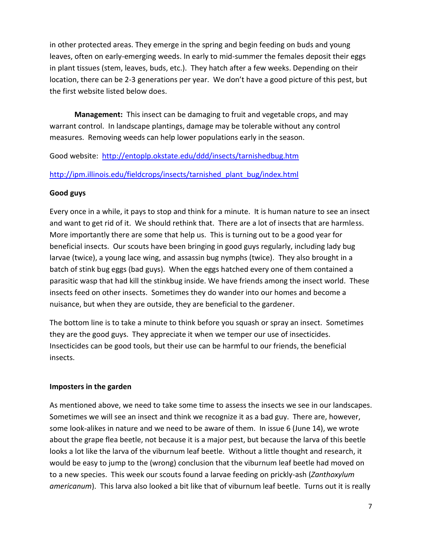in other protected areas. They emerge in the spring and begin feeding on buds and young leaves, often on early-emerging weeds. In early to mid-summer the females deposit their eggs in plant tissues (stem, leaves, buds, etc.). They hatch after a few weeks. Depending on their location, there can be 2-3 generations per year. We don't have a good picture of this pest, but the first website listed below does.

**Management:** This insect can be damaging to fruit and vegetable crops, and may warrant control. In landscape plantings, damage may be tolerable without any control measures. Removing weeds can help lower populations early in the season.

Good website: <http://entoplp.okstate.edu/ddd/insects/tarnishedbug.htm>

# [http://ipm.illinois.edu/fieldcrops/insects/tarnished\\_plant\\_bug/index.html](http://ipm.illinois.edu/fieldcrops/insects/tarnished_plant_bug/index.html)

## **Good guys**

Every once in a while, it pays to stop and think for a minute. It is human nature to see an insect and want to get rid of it. We should rethink that. There are a lot of insects that are harmless. More importantly there are some that help us. This is turning out to be a good year for beneficial insects. Our scouts have been bringing in good guys regularly, including lady bug larvae (twice), a young lace wing, and assassin bug nymphs (twice). They also brought in a batch of stink bug eggs (bad guys). When the eggs hatched every one of them contained a parasitic wasp that had kill the stinkbug inside. We have friends among the insect world. These insects feed on other insects. Sometimes they do wander into our homes and become a nuisance, but when they are outside, they are beneficial to the gardener.

The bottom line is to take a minute to think before you squash or spray an insect. Sometimes they are the good guys. They appreciate it when we temper our use of insecticides. Insecticides can be good tools, but their use can be harmful to our friends, the beneficial insects.

## **Imposters in the garden**

As mentioned above, we need to take some time to assess the insects we see in our landscapes. Sometimes we will see an insect and think we recognize it as a bad guy. There are, however, some look-alikes in nature and we need to be aware of them. In issue 6 (June 14), we wrote about the grape flea beetle, not because it is a major pest, but because the larva of this beetle looks a lot like the larva of the viburnum leaf beetle. Without a little thought and research, it would be easy to jump to the (wrong) conclusion that the viburnum leaf beetle had moved on to a new species. This week our scouts found a larvae feeding on prickly-ash (*Zanthoxylum americanum*). This larva also looked a bit like that of viburnum leaf beetle. Turns out it is really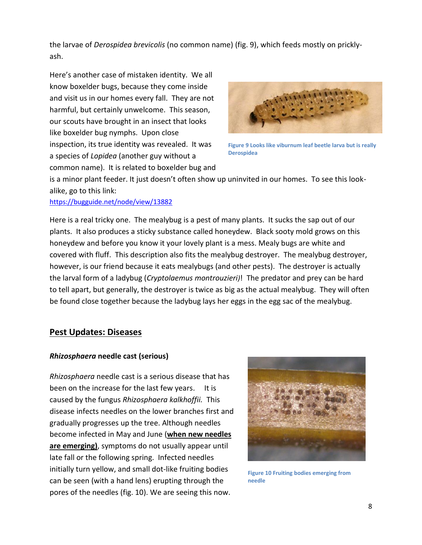the larvae of *Derospidea brevicolis* (no common name) (fig. 9), which feeds mostly on pricklyash.

Here's another case of mistaken identity. We all know boxelder bugs, because they come inside and visit us in our homes every fall. They are not harmful, but certainly unwelcome. This season, our scouts have brought in an insect that looks like boxelder bug nymphs. Upon close inspection, its true identity was revealed. It was a species of *Lopidea* (another guy without a common name). It is related to boxelder bug and



**Figure 9 Looks like viburnum leaf beetle larva but is really Derospidea**

is a minor plant feeder. It just doesn't often show up uninvited in our homes. To see this lookalike, go to this link:

#### <https://bugguide.net/node/view/13882>

Here is a real tricky one. The mealybug is a pest of many plants. It sucks the sap out of our plants. It also produces a sticky substance called honeydew. Black sooty mold grows on this honeydew and before you know it your lovely plant is a mess. Mealy bugs are white and covered with fluff. This description also fits the mealybug destroyer. The mealybug destroyer, however, is our friend because it eats mealybugs (and other pests). The destroyer is actually the larval form of a ladybug (*Cryptolaemus montrouzieri)*! The predator and prey can be hard to tell apart, but generally, the destroyer is twice as big as the actual mealybug. They will often be found close together because the ladybug lays her eggs in the egg sac of the mealybug.

## **Pest Updates: Diseases**

#### *Rhizosphaera* **needle cast (serious)**

*Rhizosphaera* needle cast is a serious disease that has been on the increase for the last few years. It is caused by the fungus *Rhizosphaera kalkhoffii.* This disease infects needles on the lower branches first and gradually progresses up the tree. Although needles become infected in May and June (**when new needles are emerging)**, symptoms do not usually appear until late fall or the following spring. Infected needles initially turn yellow, and small dot-like fruiting bodies can be seen (with a hand lens) erupting through the pores of the needles (fig. 10). We are seeing this now.



**Figure 10 Fruiting bodies emerging from needle**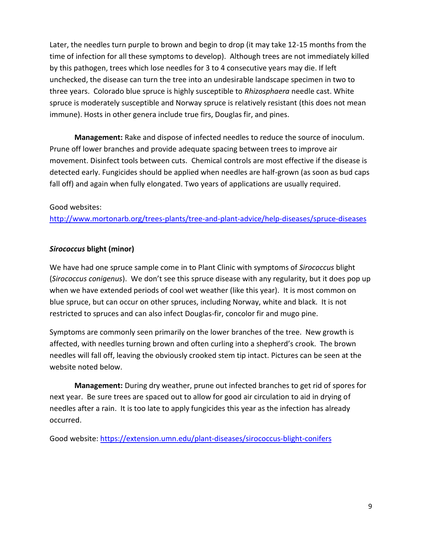Later, the needles turn purple to brown and begin to drop (it may take 12-15 months from the time of infection for all these symptoms to develop). Although trees are not immediately killed by this pathogen, trees which lose needles for 3 to 4 consecutive years may die. If left unchecked, the disease can turn the tree into an undesirable landscape specimen in two to three years. Colorado blue spruce is highly susceptible to *Rhizosphaera* needle cast. White spruce is moderately susceptible and Norway spruce is relatively resistant (this does not mean immune). Hosts in other genera include true firs, Douglas fir, and pines.

**Management:** Rake and dispose of infected needles to reduce the source of inoculum. Prune off lower branches and provide adequate spacing between trees to improve air movement. Disinfect tools between cuts. Chemical controls are most effective if the disease is detected early. Fungicides should be applied when needles are half-grown (as soon as bud caps fall off) and again when fully elongated. Two years of applications are usually required.

#### Good websites:

<http://www.mortonarb.org/trees-plants/tree-and-plant-advice/help-diseases/spruce-diseases>

#### *Sirococcus* **blight (minor)**

We have had one spruce sample come in to Plant Clinic with symptoms of *Sirococcus* blight (*Sirococcus conigenus*). We don't see this spruce disease with any regularity, but it does pop up when we have extended periods of cool wet weather (like this year). It is most common on blue spruce, but can occur on other spruces, including Norway, white and black. It is not restricted to spruces and can also infect Douglas-fir, concolor fir and mugo pine.

Symptoms are commonly seen primarily on the lower branches of the tree. New growth is affected, with needles turning brown and often curling into a shepherd's crook. The brown needles will fall off, leaving the obviously crooked stem tip intact. Pictures can be seen at the website noted below.

**Management:** During dry weather, prune out infected branches to get rid of spores for next year. Be sure trees are spaced out to allow for good air circulation to aid in drying of needles after a rain. It is too late to apply fungicides this year as the infection has already occurred.

Good website:<https://extension.umn.edu/plant-diseases/sirococcus-blight-conifers>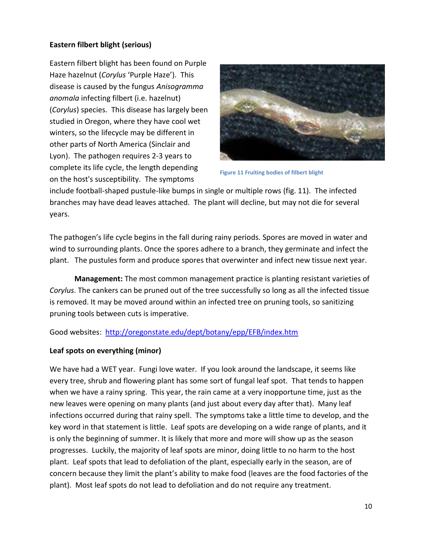## **Eastern filbert blight (serious)**

Eastern filbert blight has been found on Purple Haze hazelnut (*Corylus* 'Purple Haze'). This disease is caused by the fungus *Anisogramma anomala* infecting filbert (i.e. hazelnut) (*Corylus*) species. This disease has largely been studied in Oregon, where they have cool wet winters, so the lifecycle may be different in other parts of North America (Sinclair and Lyon). The pathogen requires 2-3 years to complete its life cycle, the length depending on the host's susceptibility. The symptoms



**Figure 11 Fruiting bodies of filbert blight**

include football-shaped pustule-like bumps in single or multiple rows (fig. 11). The infected branches may have dead leaves attached. The plant will decline, but may not die for several years.

The pathogen's life cycle begins in the fall during rainy periods. Spores are moved in water and wind to surrounding plants. Once the spores adhere to a branch, they germinate and infect the plant. The pustules form and produce spores that overwinter and infect new tissue next year.

**Management:** The most common management practice is planting resistant varieties of *Corylus*. The cankers can be pruned out of the tree successfully so long as all the infected tissue is removed. It may be moved around within an infected tree on pruning tools, so sanitizing pruning tools between cuts is imperative.

Good websites: <http://oregonstate.edu/dept/botany/epp/EFB/index.htm>

## **Leaf spots on everything (minor)**

We have had a WET year. Fungi love water. If you look around the landscape, it seems like every tree, shrub and flowering plant has some sort of fungal leaf spot. That tends to happen when we have a rainy spring. This year, the rain came at a very inopportune time, just as the new leaves were opening on many plants (and just about every day after that). Many leaf infections occurred during that rainy spell. The symptoms take a little time to develop, and the key word in that statement is little. Leaf spots are developing on a wide range of plants, and it is only the beginning of summer. It is likely that more and more will show up as the season progresses. Luckily, the majority of leaf spots are minor, doing little to no harm to the host plant. Leaf spots that lead to defoliation of the plant, especially early in the season, are of concern because they limit the plant's ability to make food (leaves are the food factories of the plant). Most leaf spots do not lead to defoliation and do not require any treatment.